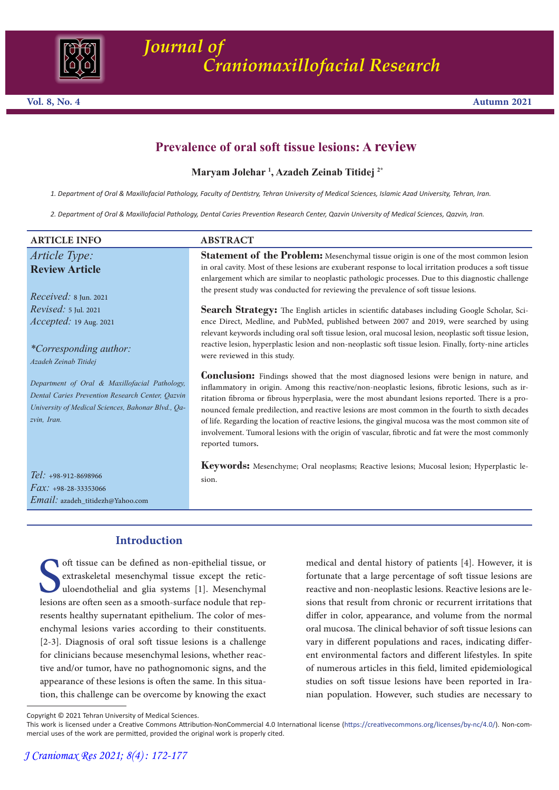

# **Prevalence of oral soft tissue lesions: A review**

### **Maryam Jolehar 1 , Azadeh Zeinab Titidej 2\***

*1. Department of Oral & Maxillofacial Pathology, Faculty of Dentistry, Tehran University of Medical Sciences, Islamic Azad University, Tehran, Iran.* 

*2. Department of Oral & Maxillofacial Pathology, Dental Caries Prevention Research Center, Qazvin University of Medical Sciences, Qazvin, Iran.*

| <b>ARTICLE INFO</b>                                                                                                                                                    | <b>ABSTRACT</b>                                                                                                                                                                                                                                                                                                                                                                                                                                                                                                                                                                                                                              |
|------------------------------------------------------------------------------------------------------------------------------------------------------------------------|----------------------------------------------------------------------------------------------------------------------------------------------------------------------------------------------------------------------------------------------------------------------------------------------------------------------------------------------------------------------------------------------------------------------------------------------------------------------------------------------------------------------------------------------------------------------------------------------------------------------------------------------|
| Article Type:<br><b>Review Article</b><br>$Received: 8$ Jun. 2021                                                                                                      | Statement of the Problem: Mesenchymal tissue origin is one of the most common lesion<br>in oral cavity. Most of these lesions are exuberant response to local irritation produces a soft tissue<br>enlargement which are similar to neoplastic pathologic processes. Due to this diagnostic challenge<br>the present study was conducted for reviewing the prevalence of soft tissue lesions.                                                                                                                                                                                                                                                |
| <i>Revised:</i> 5 Jul. 2021<br><i>Accepted:</i> 19 Aug. 2021<br><i>*Corresponding author:</i><br>Azadeh Zeinab Titidej                                                 | <b>Search Strategy:</b> The English articles in scientific databases including Google Scholar, Sci-<br>ence Direct, Medline, and PubMed, published between 2007 and 2019, were searched by using<br>relevant keywords including oral soft tissue lesion, oral mucosal lesion, neoplastic soft tissue lesion,<br>reactive lesion, hyperplastic lesion and non-neoplastic soft tissue lesion. Finally, forty-nine articles<br>were reviewed in this study.                                                                                                                                                                                     |
| Department of Oral & Maxillofacial Pathology,<br>Dental Caries Prevention Research Center, Qazvin<br>University of Medical Sciences, Bahonar Blvd., Qa-<br>zvin, Iran. | <b>Conclusion:</b> Findings showed that the most diagnosed lesions were benign in nature, and<br>inflammatory in origin. Among this reactive/non-neoplastic lesions, fibrotic lesions, such as ir-<br>ritation fibroma or fibrous hyperplasia, were the most abundant lesions reported. There is a pro-<br>nounced female predilection, and reactive lesions are most common in the fourth to sixth decades<br>of life. Regarding the location of reactive lesions, the gingival mucosa was the most common site of<br>involvement. Tumoral lesions with the origin of vascular, fibrotic and fat were the most commonly<br>reported tumors. |
| Tel: +98-912-8698966<br>$Fax: +98-28-33353066$<br>Email: azadeh_titidezh@Yahoo.com                                                                                     | Keywords: Mesenchyme; Oral neoplasms; Reactive lesions; Mucosal lesion; Hyperplastic le-<br>sion.                                                                                                                                                                                                                                                                                                                                                                                                                                                                                                                                            |

## **Introduction**

uloendothelial and glia systems [1]. Mesenchymal<br>lesions are often seen as a smooth-surface nodule that rep-<br>resents healthy supernatant epithelium. The color of mesoft tissue can be defined as non-epithelial tissue, or extraskeletal mesenchymal tissue except the reticenchymal lesions varies according to their constituents. [2-3]. Diagnosis of oral soft tissue lesions is a challenge for clinicians because mesenchymal lesions, whether reactive and/or tumor, have no pathognomonic signs, and the appearance of these lesions is often the same. In this situation, this challenge can be overcome by knowing the exact

medical and dental history of patients [4]. However, it is fortunate that a large percentage of soft tissue lesions are reactive and non-neoplastic lesions. Reactive lesions are le- sions that result from chronic or recurrent irritations that differ in color, appearance, and volume from the normal oral mucosa. The clinical behavior of soft tissue lesions can vary in different populations and races, indicating different environmental factors and different lifestyles. In spite of numerous articles in this field, limited epidemiological studies on soft tissue lesions have been reported in Iranian population. However, such studies are necessary to

Copyright © 2021 Tehran University of Medical Sciences.

This work is licensed under a Creative Commons Attribution-NonCommercial 4.0 International license (https://creativecommons.org/licenses/by-nc/4.0/). Non-commercial uses of the work are permitted, provided the original work is properly cited.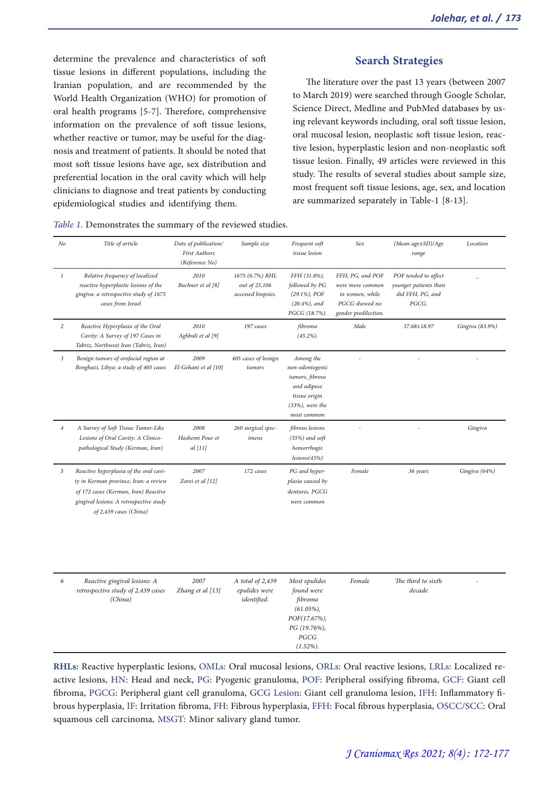determine the prevalence and characteristics of soft tissue lesions in different populations, including the Iranian population, and are recommended by the World Health Organization (WHO) for promotion of oral health programs [5-7]. Therefore, comprehensive information on the prevalence of soft tissue lesions, whether reactive or tumor, may be useful for the diag-<br>nosis and treatment of patients. It should be noted that most soft tissue lesions have age, sex distribution and preferential location in the oral cavity which will help clinicians to diagnose and treat patients by conducting epidemiological studies and identifying them.

| Table 1. Demonstrates the summary of the reviewed studies. |  |
|------------------------------------------------------------|--|
|------------------------------------------------------------|--|

#### **Search Strategies**

The literature over the past 13 years (between 2007 to March 2019) were searched through Google Scholar,<br>Science Direct, Medline and PubMed databases by using relevant keywords including, oral soft tissue lesion, oral mucosal lesion, neoplastic soft tissue lesion, reac- tive lesion, hyperplastic lesion and non-neoplastic soft tissue lesion. Finally, 49 articles were reviewed in this study. The results of several studies about sample size, most frequent soft tissue lesions, age, sex, and location are summarized separately in Table-1 [8-13].

| $N$ o          | Title of article                                                                                                                                                                             | Date of publication/<br><b>First Authors</b><br>(Reference No) | Sample size                                            | Frequent soft<br>tissue lesion                                                                                       | Sex                                                                                               | (Mean age±SD)/Age<br>range                                                 | Location        |
|----------------|----------------------------------------------------------------------------------------------------------------------------------------------------------------------------------------------|----------------------------------------------------------------|--------------------------------------------------------|----------------------------------------------------------------------------------------------------------------------|---------------------------------------------------------------------------------------------------|----------------------------------------------------------------------------|-----------------|
| $\it 1$        | Relative frequency of localized<br>reactive hyperplastic lesions of the<br>gingiva: a retrospective study of 1675<br>cases from Israel                                                       | 2010<br>Buchner et al [8]                                      | 1675 (6.7%) RHL<br>out of 25,106<br>accessed biopsies. | FFH (31.8%),<br>followed by PG<br>$(29.1\%)$ , POF<br>$(20.4\%), and$<br>PGCG (18.7%).                               | FFH, PG, and POF<br>were more common<br>in women, while<br>PGCG showed no<br>gender predilection. | POF tended to affect<br>younger patients than<br>did FFH, PG, and<br>PGCG. |                 |
| $\overline{c}$ | Reactive Hyperplasia of the Oral<br>Cavity: A Survey of 197 Cases in<br>Tabriz, Northwest Iran (Tabriz, Iran)                                                                                | 2010<br>Aghbali et al [9]                                      | 197 cases                                              | fibroma<br>$(45.2\%)$ .                                                                                              | Male                                                                                              | 37.68±18.97                                                                | Gingiva (83.9%) |
| $\sqrt{3}$     | Benign tumors of orofacial region at<br>Benghazi, Libya: a study of 405 cases                                                                                                                | 2009<br>El-Gehani et al [10]                                   | 405 cases of benign<br>tumors                          | Among the<br>non-odontogenic<br>tumors, fibrous<br>and adipose<br>tissue origin<br>$(33%)$ , were the<br>most common |                                                                                                   |                                                                            |                 |
| $\overline{4}$ | A Survey of Soft Tissue Tumor-Like<br>Lesions of Oral Cavity: A Clinico-<br>pathological Study (Kerman, Iran)                                                                                | 2008<br>Hashemi Pour et<br>$al$ [11]                           | 260 surgical spec-<br>imens                            | fibrous lesions<br>$(55%)$ and soft<br>hemorrhagic<br>lesions(45%)                                                   | ÷,                                                                                                |                                                                            | Gingiva         |
| 5              | Reactive hyperplasia of the oral cavi-<br>ty in Kerman province, Iran: a review<br>of 172 cases (Kerman, Iran) Reactive<br>gingival lesions: A retrospective study<br>of 2,439 cases (China) | 2007<br>Zarei et al [12]                                       | 172 cases                                              | PG and hyper-<br>plasia caused by<br>dentures, PGCG<br>were common                                                   | Female                                                                                            | 36 years                                                                   | Gingiva (64%)   |
| 6              | Reactive gingival lesions: A<br>retrospective study of 2,439 cases<br>(China)                                                                                                                | 2007<br>Zhang et al [13]                                       | A total of 2,439<br>epulides were<br>identified.       | Most epulides<br>found were<br>fibroma<br>$(61.05\%)$<br>POF(17.67%),<br>PG (19.76%),<br>PGCG<br>$(1.52\%)$ .        | Female                                                                                            | The third to sixth<br>decade                                               |                 |

**RHLs:** Reactive hyperplastic lesions, OMLs: Oral mucosal lesions, ORLs: Oral reactive lesions, LRLs: Localized reactive lesions, HN: Head and neck, PG: Pyogenic granuloma, POF: Peripheral ossifying fibroma, GCF: Giant cell fibroma, PGCG: Peripheral giant cell granuloma, GCG Lesion: Giant cell granuloma lesion, IFH: Inflammatory fibrous hyperplasia, IF: Irritation fibroma, FH: Fibrous hyperplasia, FFH: Focal fibrous hyperplasia, OSCC/SCC: Oral squamous cell carcinoma, MSGT: Minor salivary gland tumor.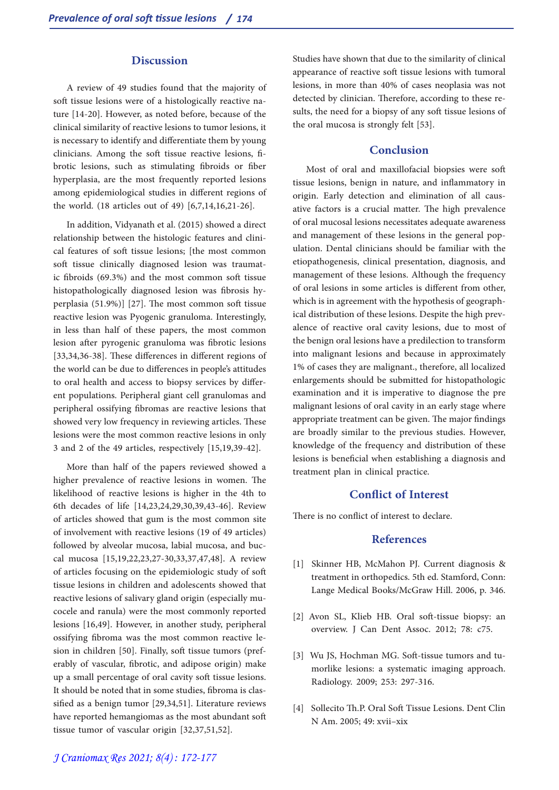#### **Discussion**

A review of 49 studies found that the majority of soft tissue lesions were of a histologically reactive nature [14-20]. However, as noted before, because of the clinical similarity of reactive lesions to tumor lesions, it is necessary to identify and differentiate them by young clinicians. Among the soft tissue reactive lesions, fibrotic lesions, such as stimulating fibroids or fiber hyperplasia, are the most frequently reported lesions among epidemiological studies in different regions of the world. (18 articles out of 49) [6,7,14,16,21-26].

In addition, Vidyanath et al. (2015) showed a direct relationship between the histologic features and clinical features of soft tissue lesions; [the most common soft tissue clinically diagnosed lesion was traumatic fibroids (69.3%) and the most common soft tissue histopathologically diagnosed lesion was fibrosis hyperplasia (51.9%)] [27]. The most common soft tissue reactive lesion was Pyogenic granuloma. Interestingly, in less than half of these papers, the most common lesion after pyrogenic granuloma was fibrotic lesions [33,34,36-38]. These differences in different regions of the world can be due to differences in people's attitudes to oral health and access to biopsy services by differ- ent populations. Peripheral giant cell granulomas and peripheral ossifying fibromas are reactive lesions that showed very low frequency in reviewing articles. These lesions were the most common reactive lesions in only 3 and 2 of the 49 articles, respectively [15,19,39-42].

More than half of the papers reviewed showed a higher prevalence of reactive lesions in women. The likelihood of reactive lesions is higher in the 4th to 6th decades of life [14,23,24,29,30,39,43-46]. Review of articles showed that gum is the most common site of involvement with reactive lesions (19 of 49 articles) followed by alveolar mucosa, labial mucosa, and buc- cal mucosa [15,19,22,23,27-30,33,37,47,48]. A review of articles focusing on the epidemiologic study of soft tissue lesions in children and adolescents showed that reactive lesions of salivary gland origin (especially mu- cocele and ranula) were the most commonly reported lesions [16,49]. However, in another study, peripheral ossifying fibroma was the most common reactive le- sion in children [50]. Finally, soft tissue tumors (preferably of vascular, fibrotic, and adipose origin) make up a small percentage of oral cavity soft tissue lesions. It should be noted that in some studies, fibroma is clas- sified as a benign tumor [29,34,51]. Literature reviews have reported hemangiomas as the most abundant soft tissue tumor of vascular origin [32,37,51,52].

Studies have shown that due to the similarity of clinical appearance of reactive soft tissue lesions with tumoral lesions, in more than 40% of cases neoplasia was not sults, the need for a biopsy of any soft tissue lesions of the oral mucosa is strongly felt [53].

#### **Conclusion**

Most of oral and maxillofacial biopsies were soft tissue lesions, benign in nature, and inflammatory in origin. Early detection and elimination of all causative factors is a crucial matter. The high prevalence of oral mucosal lesions necessitates adequate awareness and management of these lesions in the general population. Dental clinicians should be familiar with the etiopathogenesis, clinical presentation, diagnosis, and management of these lesions. Although the frequency of oral lesions in some articles is different from other, which is in agreement with the hypothesis of geograph- ical distribution of these lesions. Despite the high prevalence of reactive oral cavity lesions, due to most of the benign oral lesions have a predilection to transform into malignant lesions and because in approximately 1% of cases they are malignant., therefore, all localized enlargements should be submitted for histopathologic examination and it is imperative to diagnose the pre malignant lesions of oral cavity in an early stage where appropriate treatment can be given. The major findings are broadly similar to the previous studies. However, knowledge of the frequency and distribution of these lesions is beneficial when establishing a diagnosis and treatment plan in clinical practice.

#### **Conflict of Interest**

There is no conflict of interest to declare.

#### **References**

- [1] Skinner HB, McMahon PJ. Current diagnosis & treatment in orthopedics. 5th ed. Stamford, Conn: Lange Medical Books/McGraw Hill. 2006, p. 346.
- [2] Avon SL, Klieb HB. Oral soft-tissue biopsy: an overview. J Can Dent Assoc. 2012; 78: c75.
- [3] Wu JS, Hochman MG. Soft-tissue tumors and tu- morlike lesions: a systematic imaging approach. Radiology. 2009; 253: 297-316.
- [4] Sollecito Th.P. Oral Soft Tissue Lesions. Dent Clin N Am. 2005; 49: xvii–xix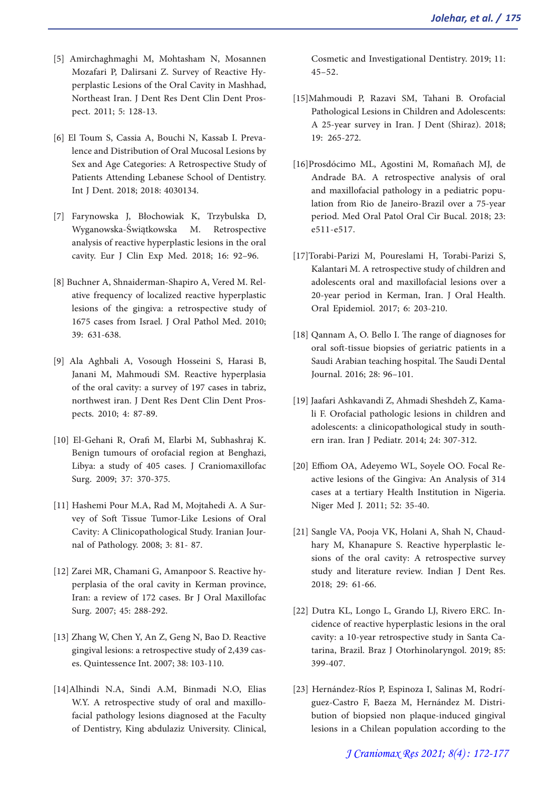- [5] Amirchaghmaghi M, Mohtasham N, Mosannen Mozafari P, Dalirsani Z. Survey of Reactive Hy- perplastic Lesions of the Oral Cavity in Mashhad, Northeast Iran. J Dent Res Dent Clin Dent Pros- pect. 2011; 5: 128-13.
- [6] El Toum S, Cassia A, Bouchi N, Kassab I. Preva- lence and Distribution of Oral Mucosal Lesions by Sex and Age Categories: A Retrospective Study of Patients Attending Lebanese School of Dentistry. Int J Dent. 2018; 2018: 4030134.
- [7] Farynowska J, Błochowiak K, Trzybulska D, Wyganowska-Świątkowska M. analysis of reactive hyperplastic lesions in the oral cavity. Eur J Clin Exp Med. 2018; 16: 92–96.
- [8] Buchner A, Shnaiderman-Shapiro A, Vered M. Rel- ative frequency of localized reactive hyperplastic lesions of the gingiva: a retrospective study of 1675 cases from Israel. J Oral Pathol Med. 2010; 39: 631-638.
- [9] Ala Aghbali A, Vosough Hosseini S, Harasi B, Janani M, Mahmoudi SM. Reactive hyperplasia of the oral cavity: a survey of 197 cases in tabriz, northwest iran. J Dent Res Dent Clin Dent Prospects. 2010; 4: 87-89.
- [10] El-Gehani R, Orafi M, Elarbi M, Subhashraj K. Benign tumours of orofacial region at Benghazi, Libya: a study of 405 cases. J Craniomaxillofac Surg. 2009; 37: 370-375.
- [11] Hashemi Pour M.A, Rad M, Mojtahedi A. A Survey of Soft Tissue Tumor-Like Lesions of Oral Cavity: A Clinicopathological Study. Iranian Journal of Pathology. 2008; 3: 81- 87.
- [12] Zarei MR, Chamani G, Amanpoor S. Reactive hyperplasia of the oral cavity in Kerman province, Iran: a review of 172 cases. Br J Oral Maxillofac Surg. 2007; 45: 288-292.
- [13] Zhang W, Chen Y, An Z, Geng N, Bao D. Reactive gingival lesions: a retrospective study of 2,439 cas- es. Quintessence Int. 2007; 38: 103-110.
- [14]Alhindi N.A, Sindi A.M, Binmadi N.O, Elias W.Y. A retrospective study of oral and maxillofacial pathology lesions diagnosed at the Faculty of Dentistry, King abdulaziz University. Clinical,

Cosmetic and Investigational Dentistry. 2019; 11:  $45 - 52.$ 

- [15]Mahmoudi P, Razavi SM, Tahani B. Orofacial Pathological Lesions in Children and Adolescents: A 25-year survey in Iran. J Dent (Shiraz). 2018; 19: 265-272.
- [16]Prosdócimo ML, Agostini M, Romañach MJ, de Andrade BA. A retrospective analysis of oral and maxillofacial pathology in a pediatric population from Rio de Janeiro-Brazil over a 75-year period. Med Oral Patol Oral Cir Bucal. 2018; 23: e511-e517.
- [17]Torabi-Parizi M, Poureslami H, Torabi-Parizi S, Kalantari M. A retrospective study of children and adolescents oral and maxillofacial lesions over a 20-year period in Kerman, Iran. J Oral Health. Oral Epidemiol. 2017; 6: 203-210.
- [18] Qannam A, O. Bello I. The range of diagnoses for oral soft-tissue biopsies of geriatric patients in a Saudi Arabian teaching hospital. The Saudi Dental Journal. 2016; 28: 96–101.
- [19] Jaafari Ashkavandi Z, Ahmadi Sheshdeh Z, Kamali F. Orofacial pathologic lesions in children and adolescents: a clinicopathological study in southern iran. Iran J Pediatr. 2014; 24: 307-312.
- [20] Effiom OA, Adeyemo WL, Soyele OO. Focal Reactive lesions of the Gingiva: An Analysis of 314 cases at a tertiary Health Institution in Nigeria. Niger Med J. 2011; 52: 35-40.
- [21] Sangle VA, Pooja VK, Holani A, Shah N, Chaudhary M, Khanapure S. Reactive hyperplastic lesions of the oral cavity: A retrospective survey study and literature review. Indian J Dent Res. 2018; 29: 61-66.
- [22] Dutra KL, Longo L, Grando LJ, Rivero ERC. In- cidence of reactive hyperplastic lesions in the oral cavity: a 10-year retrospective study in Santa Ca- tarina, Brazil. Braz J Otorhinolaryngol. 2019; 85: 399-407.
- [23] Hernández-Ríos P, Espinoza I, Salinas M, Rodríguez-Castro F, Baeza M, Hernández M. Distribution of biopsied non plaque-induced gingival lesions in a Chilean population according to the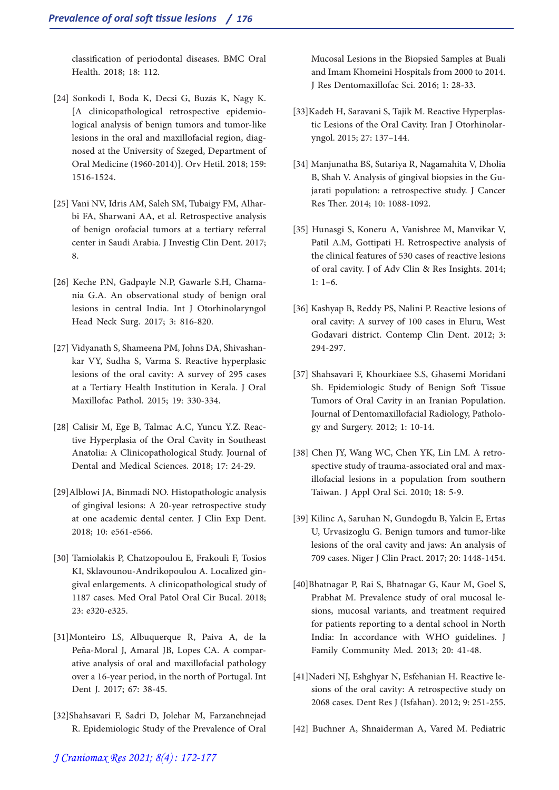classification of periodontal diseases. BMC Oral Health. 2018; 18: 112.

- [24] Sonkodi I, Boda K, Decsi G, Buzás K, Nagy K. [A clinicopathological retrospective epidemio- logical analysis of benign tumors and tumor-like lesions in the oral and maxillofacial region, diag- nosed at the University of Szeged, Department of Oral Medicine (1960-2014)]. Orv Hetil. 2018; 159: 1516-1524.
- [25] Vani NV, Idris AM, Saleh SM, Tubaigy FM, Alhar- bi FA, Sharwani AA, et al. Retrospective analysis of benign orofacial tumors at a tertiary referral center in Saudi Arabia. J Investig Clin Dent. 2017; 8.
- [26] Keche P.N, Gadpayle N.P, Gawarle S.H, Chama- nia G.A. An observational study of benign oral lesions in central India. Int J Otorhinolaryngol Head Neck Surg. 2017; 3: 816-820.
- [27] Vidyanath S, Shameena PM, Johns DA, Shivashankar VY, Sudha S, Varma S. Reactive hyperplasic lesions of the oral cavity: A survey of 295 cases at a Tertiary Health Institution in Kerala. J Oral Maxillofac Pathol. 2015; 19: 330-334.
- [28] Calisir M, Ege B, Talmac A.C, Yuncu Y.Z. Reactive Hyperplasia of the Oral Cavity in Southeast Anatolia: A Clinicopathological Study. Journal of Dental and Medical Sciences. 2018; 17: 24-29.
- [29]Alblowi JA, Binmadi NO. Histopathologic analysis of gingival lesions: A 20-year retrospective study at one academic dental center. J Clin Exp Dent. 2018; 10: e561-e566.
- [30] Tamiolakis P, Chatzopoulou E, Frakouli F, Tosios KI, Sklavounou-Andrikopoulou A. Localized gingival enlargements. A clinicopathological study of 1187 cases. Med Oral Patol Oral Cir Bucal. 2018; 23: e320-e325.
- [31]Monteiro LS, Albuquerque R, Paiva A, de la ative analysis of oral and maxillofacial pathology over a 16-year period, in the north of Portugal. Int Dent J. 2017; 67: 38-45.
- [32]Shahsavari F, Sadri D, Jolehar M, Farzanehnejad R. Epidemiologic Study of the Prevalence of Oral

Mucosal Lesions in the Biopsied Samples at Buali and Imam Khomeini Hospitals from 2000 to 2014. J Res Dentomaxillofac Sci. 2016; 1: 28-33.

- [33]Kadeh H, Saravani S, Tajik M. Reactive Hyperplas- tic Lesions of the Oral Cavity. Iran J Otorhinolar- yngol. 2015; 27: 137–144.
- [34] Manjunatha BS, Sutariya R, Nagamahita V, Dholia B, Shah V. Analysis of gingival biopsies in the Gu- jarati population: a retrospective study. J Cancer Res Ther. 2014; 10: 1088-1092.
- [35] Hunasgi S, Koneru A, Vanishree M, Manvikar V, Patil A.M, Gottipati H. Retrospective analysis of the clinical features of 530 cases of reactive lesions of oral cavity. J of Adv Clin & Res Insights. 2014; 1: 1–6.
- [36] Kashyap B, Reddy PS, Nalini P. Reactive lesions of oral cavity: A survey of 100 cases in Eluru, West Godavari district. Contemp Clin Dent. 2012; 3: 294-297.
- [37] Shahsavari F, Khourkiaee S.S, Ghasemi Moridani Sh. Epidemiologic Study of Benign Soft Tissue Tumors of Oral Cavity in an Iranian Population. Journal of Dentomaxillofacial Radiology, Pathology and Surgery. 2012; 1: 10-14.
- [38] Chen JY, Wang WC, Chen YK, Lin LM. A retrospective study of trauma-associated oral and maxillofacial lesions in a population from southern Taiwan. J Appl Oral Sci. 2010; 18: 5-9.
- [39] Kilinc A, Saruhan N, Gundogdu B, Yalcin E, Ertas U, Urvasizoglu G. Benign tumors and tumor-like lesions of the oral cavity and jaws: An analysis of 709 cases. Niger J Clin Pract. 2017; 20: 1448-1454.
- [40]Bhatnagar P, Rai S, Bhatnagar G, Kaur M, Goel S, Prabhat M. Prevalence study of oral mucosal le-<br>sions, mucosal variants, and treatment required for patients reporting to a dental school in North India: In accordance with WHO guidelines. J Family Community Med. 2013; 20: 41-48.
- [41]Naderi NJ, Eshghyar N, Esfehanian H. Reactive lesions of the oral cavity: A retrospective study on 2068 cases. Dent Res J (Isfahan). 2012; 9: 251-255.
- [42] Buchner A, Shnaiderman A, Vared M. Pediatric

# *J Craniomax Res 2021; 8(4) : 172-177*